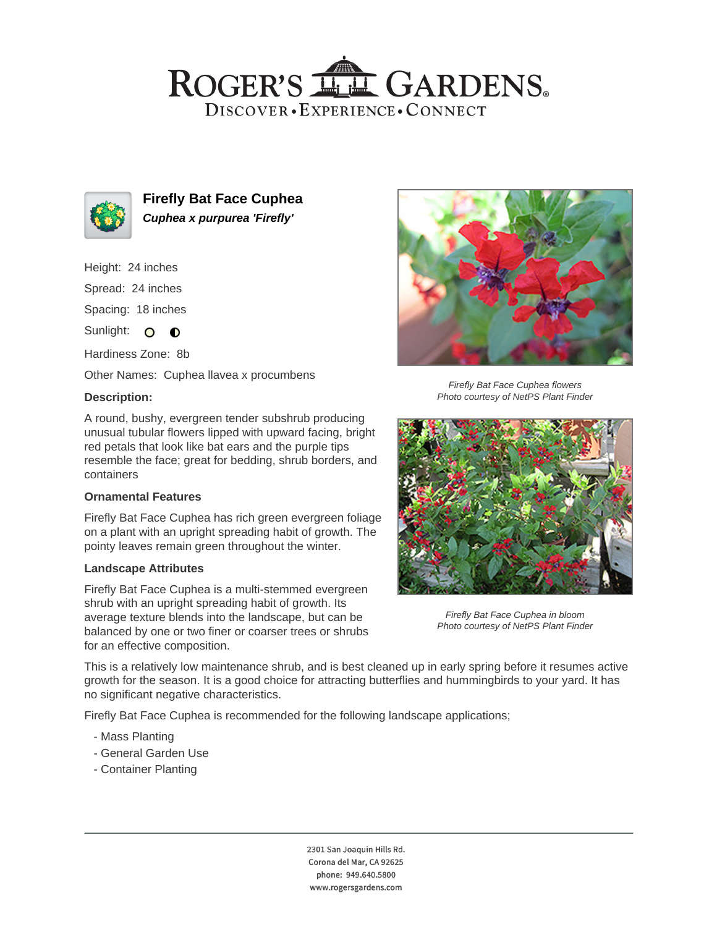## ROGER'S LL GARDENS. DISCOVER · EXPERIENCE · CONNECT



**Firefly Bat Face Cuphea Cuphea x purpurea 'Firefly'**

Height: 24 inches Spread: 24 inches

Spacing: 18 inches

Sunlight: O O

Hardiness Zone: 8b

Other Names: Cuphea llavea x procumbens

#### **Description:**



Firefly Bat Face Cuphea flowers Photo courtesy of NetPS Plant Finder



## **Ornamental Features**

Firefly Bat Face Cuphea has rich green evergreen foliage on a plant with an upright spreading habit of growth. The pointy leaves remain green throughout the winter.

#### **Landscape Attributes**

Firefly Bat Face Cuphea is a multi-stemmed evergreen shrub with an upright spreading habit of growth. Its average texture blends into the landscape, but can be balanced by one or two finer or coarser trees or shrubs for an effective composition.



Firefly Bat Face Cuphea in bloom Photo courtesy of NetPS Plant Finder

This is a relatively low maintenance shrub, and is best cleaned up in early spring before it resumes active growth for the season. It is a good choice for attracting butterflies and hummingbirds to your yard. It has no significant negative characteristics.

Firefly Bat Face Cuphea is recommended for the following landscape applications;

- Mass Planting
- General Garden Use
- Container Planting

2301 San Joaquin Hills Rd. Corona del Mar, CA 92625 phone: 949.640.5800 www.rogersgardens.com